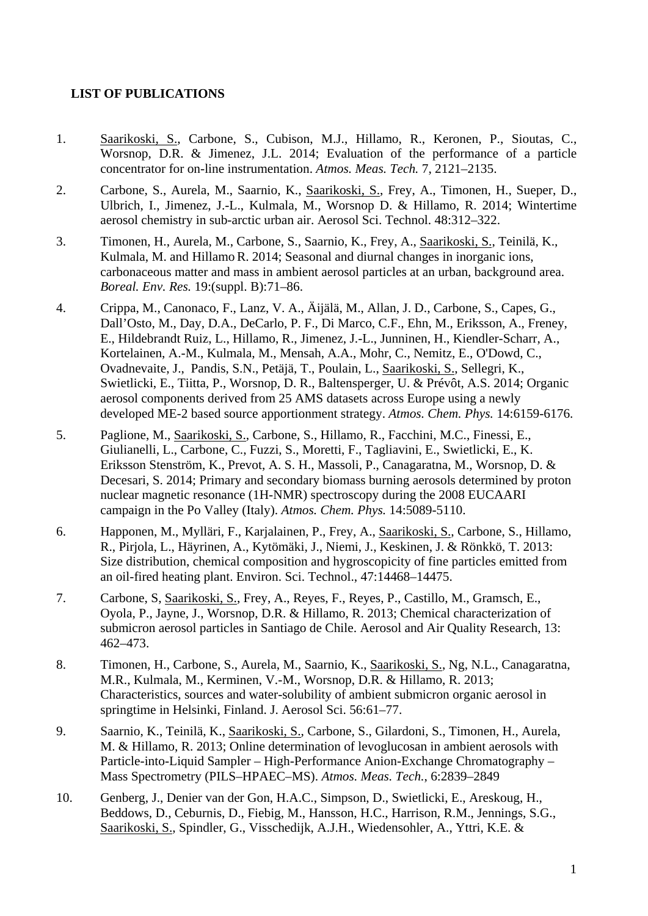## **LIST OF PUBLICATIONS**

- 1. Saarikoski, S., Carbone, S., Cubison, M.J., Hillamo, R., Keronen, P., Sioutas, C., Worsnop, D.R. & Jimenez, J.L. 2014; Evaluation of the performance of a particle concentrator for on-line instrumentation. *Atmos. Meas. Tech.* 7, 2121–2135.
- 2. Carbone, S., Aurela, M., Saarnio, K., Saarikoski, S., Frey, A., Timonen, H., Sueper, D., Ulbrich, I., Jimenez, J.-L., Kulmala, M., Worsnop D. & Hillamo, R. 2014; Wintertime aerosol chemistry in sub-arctic urban air. Aerosol Sci. Technol. 48:312–322.
- 3. Timonen, H., Aurela, M., Carbone, S., Saarnio, K., Frey, A., Saarikoski, S., Teinilä, K., Kulmala, M. and HillamoR. 2014; Seasonal and diurnal changes in inorganic ions, carbonaceous matter and mass in ambient aerosol particles at an urban, background area. *Boreal. Env. Res.* 19:(suppl. B):71–86.
- 4. Crippa, M., Canonaco, F., Lanz, V. A., Äijälä, M., Allan, J. D., Carbone, S., Capes, G., Dall'Osto, M., Day, D.A., DeCarlo, P. F., Di Marco, C.F., Ehn, M., Eriksson, A., Freney, E., Hildebrandt Ruiz, L., Hillamo, R., Jimenez, J.-L., Junninen, H., Kiendler-Scharr, A., Kortelainen, A.-M., Kulmala, M., Mensah, A.A., Mohr, C., Nemitz, E., O'Dowd, C., Ovadnevaite, J., Pandis, S.N., Petäjä, T., Poulain, L., Saarikoski, S., Sellegri, K., Swietlicki, E., Tiitta, P., Worsnop, D. R., Baltensperger, U. & Prévôt, A.S. 2014; Organic aerosol components derived from 25 AMS datasets across Europe using a newly developed ME-2 based source apportionment strategy. *Atmos. Chem. Phys.* 14:6159-6176.
- 5. Paglione, M., Saarikoski, S., Carbone, S., Hillamo, R., Facchini, M.C., Finessi, E., Giulianelli, L., Carbone, C., Fuzzi, S., Moretti, F., Tagliavini, E., Swietlicki, E., K. Eriksson Stenström, K., Prevot, A. S. H., Massoli, P., Canagaratna, M., Worsnop, D. & Decesari, S. 2014; Primary and secondary biomass burning aerosols determined by proton nuclear magnetic resonance (1H-NMR) spectroscopy during the 2008 EUCAARI campaign in the Po Valley (Italy). *Atmos. Chem. Phys.* 14:5089-5110.
- 6. Happonen, M., Mylläri, F., Karjalainen, P., Frey, A., Saarikoski, S., Carbone, S., Hillamo, R., Pirjola, L., Häyrinen, A., Kytömäki, J., Niemi, J., Keskinen, J. & Rönkkö, T. 2013: Size distribution, chemical composition and hygroscopicity of fine particles emitted from an oil-fired heating plant. Environ. Sci. Technol., 47:14468–14475.
- 7. Carbone, S, Saarikoski, S., Frey, A., Reyes, F., Reyes, P., Castillo, M., Gramsch, E., Oyola, P., Jayne, J., Worsnop, D.R. & Hillamo, R. 2013; Chemical characterization of submicron aerosol particles in Santiago de Chile. Aerosol and Air Quality Research, 13: 462–473.
- 8. Timonen, H., Carbone, S., Aurela, M., Saarnio, K., Saarikoski, S., Ng, N.L., Canagaratna, M.R., Kulmala, M., Kerminen, V.-M., Worsnop, D.R. & Hillamo, R. 2013; Characteristics, sources and water-solubility of ambient submicron organic aerosol in springtime in Helsinki, Finland. J. Aerosol Sci. 56:61–77.
- 9. Saarnio, K., Teinilä, K., Saarikoski, S., Carbone, S., Gilardoni, S., Timonen, H., Aurela, M. & Hillamo, R. 2013; Online determination of levoglucosan in ambient aerosols with Particle-into-Liquid Sampler – High-Performance Anion-Exchange Chromatography – Mass Spectrometry (PILS–HPAEC–MS). *Atmos. Meas. Tech.*, 6:2839–2849
- 10. Genberg, J., Denier van der Gon, H.A.C., Simpson, D., Swietlicki, E., Areskoug, H., Beddows, D., Ceburnis, D., Fiebig, M., Hansson, H.C., Harrison, R.M., Jennings, S.G., Saarikoski, S., Spindler, G., Visschedijk, A.J.H., Wiedensohler, A., Yttri, K.E. &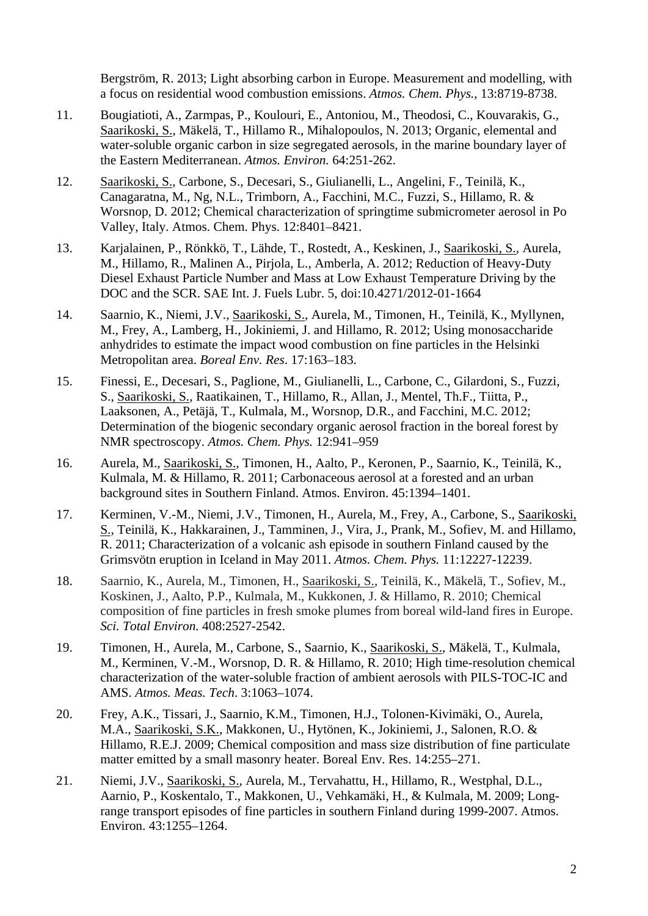Bergström, R. 2013; Light absorbing carbon in Europe. Measurement and modelling, with a focus on residential wood combustion emissions. *Atmos. Chem. Phys.*, 13:8719-8738.

- 11. Bougiatioti, A., Zarmpas, P., Koulouri, E., Antoniou, M., Theodosi, C., Kouvarakis, G., Saarikoski, S., Mäkelä, T., Hillamo R., Mihalopoulos, N. 2013; Organic, elemental and water-soluble organic carbon in size segregated aerosols, in the marine boundary layer of the Eastern Mediterranean. *Atmos. Environ.* 64:251-262.
- 12. Saarikoski, S., Carbone, S., Decesari, S., Giulianelli, L., Angelini, F., Teinilä, K., Canagaratna, M., Ng, N.L., Trimborn, A., Facchini, M.C., Fuzzi, S., Hillamo, R. & Worsnop, D. 2012; Chemical characterization of springtime submicrometer aerosol in Po Valley, Italy. Atmos. Chem. Phys. 12:8401–8421.
- 13. Karjalainen, P., Rönkkö, T., Lähde, T., Rostedt, A., Keskinen, J., Saarikoski, S., Aurela, M., Hillamo, R., Malinen A., Pirjola, L., Amberla, A. 2012; Reduction of Heavy-Duty Diesel Exhaust Particle Number and Mass at Low Exhaust Temperature Driving by the DOC and the SCR. SAE Int. J. Fuels Lubr. 5, doi:10.4271/2012-01-1664
- 14. Saarnio, K., Niemi, J.V., Saarikoski, S., Aurela, M., Timonen, H., Teinilä, K., Myllynen, M., Frey, A., Lamberg, H., Jokiniemi, J. and Hillamo, R. 2012; Using monosaccharide anhydrides to estimate the impact wood combustion on fine particles in the Helsinki Metropolitan area. *Boreal Env. Res*. 17:163–183.
- 15. Finessi, E., Decesari, S., Paglione, M., Giulianelli, L., Carbone, C., Gilardoni, S., Fuzzi, S., Saarikoski, S., Raatikainen, T., Hillamo, R., Allan, J., Mentel, Th.F., Tiitta, P., Laaksonen, A., Petäjä, T., Kulmala, M., Worsnop, D.R., and Facchini, M.C. 2012; Determination of the biogenic secondary organic aerosol fraction in the boreal forest by NMR spectroscopy. *Atmos. Chem. Phys.* 12:941–959
- 16. Aurela, M., Saarikoski, S., Timonen, H., Aalto, P., Keronen, P., Saarnio, K., Teinilä, K., Kulmala, M. & Hillamo, R. 2011; Carbonaceous aerosol at a forested and an urban background sites in Southern Finland. Atmos. Environ. 45:1394–1401.
- 17. Kerminen, V.-M., Niemi, J.V., Timonen, H., Aurela, M., Frey, A., Carbone, S., Saarikoski, S., Teinilä, K., Hakkarainen, J., Tamminen, J., Vira, J., Prank, M., Sofiev, M. and Hillamo, R. 2011; Characterization of a volcanic ash episode in southern Finland caused by the Grimsvötn eruption in Iceland in May 2011. *Atmos. Chem. Phys.* 11:12227-12239.
- 18. Saarnio, K., Aurela, M., Timonen, H., Saarikoski, S., Teinilä, K., Mäkelä, T., Sofiev, M., Koskinen, J., Aalto, P.P., Kulmala, M., Kukkonen, J. & Hillamo, R. 2010; Chemical composition of fine particles in fresh smoke plumes from boreal wild-land fires in Europe. *Sci. Total Environ.* 408:2527-2542.
- 19. Timonen, H., Aurela, M., Carbone, S., Saarnio, K., Saarikoski, S., Mäkelä, T., Kulmala, M., Kerminen, V.-M., Worsnop, D. R. & Hillamo, R. 2010; High time-resolution chemical characterization of the water-soluble fraction of ambient aerosols with PILS-TOC-IC and AMS. *Atmos. Meas. Tech*. 3:1063–1074.
- 20. Frey, A.K., Tissari, J., Saarnio, K.M., Timonen, H.J., Tolonen-Kivimäki, O., Aurela, M.A., Saarikoski, S.K., Makkonen, U., Hytönen, K., Jokiniemi, J., Salonen, R.O. & Hillamo, R.E.J. 2009; Chemical composition and mass size distribution of fine particulate matter emitted by a small masonry heater. Boreal Env. Res. 14:255–271.
- 21. Niemi, J.V., Saarikoski, S., Aurela, M., Tervahattu, H., Hillamo, R., Westphal, D.L., Aarnio, P., Koskentalo, T., Makkonen, U., Vehkamäki, H., & Kulmala, M. 2009; Longrange transport episodes of fine particles in southern Finland during 1999-2007. Atmos. Environ. 43:1255–1264.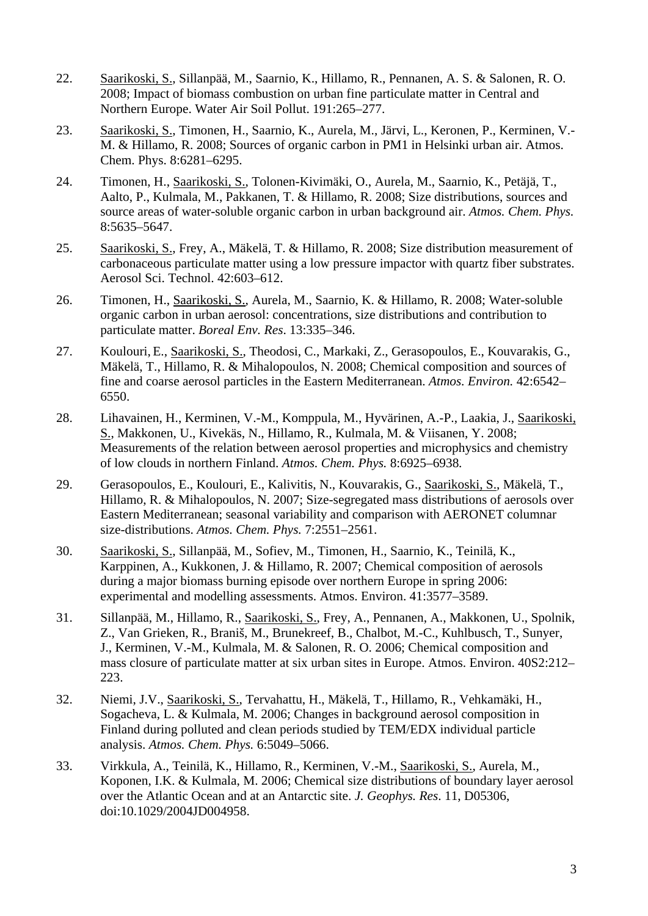- 22. Saarikoski, S., Sillanpää, M., Saarnio, K., Hillamo, R., Pennanen, A. S. & Salonen, R. O. 2008; Impact of biomass combustion on urban fine particulate matter in Central and Northern Europe. Water Air Soil Pollut. 191:265–277.
- 23. Saarikoski, S., Timonen, H., Saarnio, K., Aurela, M., Järvi, L., Keronen, P., Kerminen, V.- M. & Hillamo, R. 2008; Sources of organic carbon in PM1 in Helsinki urban air. Atmos. Chem. Phys. 8:6281–6295.
- 24. Timonen, H., Saarikoski, S., Tolonen-Kivimäki, O., Aurela, M., Saarnio, K., Petäjä, T., Aalto, P., Kulmala, M., Pakkanen, T. & Hillamo, R. 2008; Size distributions, sources and source areas of water-soluble organic carbon in urban background air. *Atmos. Chem. Phys.*  8:5635–5647.
- 25. Saarikoski, S., Frey, A., Mäkelä, T. & Hillamo, R. 2008; Size distribution measurement of carbonaceous particulate matter using a low pressure impactor with quartz fiber substrates. Aerosol Sci. Technol. 42:603–612.
- 26. Timonen, H., Saarikoski, S., Aurela, M., Saarnio, K. & Hillamo, R. 2008; Water-soluble organic carbon in urban aerosol: concentrations, size distributions and contribution to particulate matter. *Boreal Env. Res*. 13:335–346.
- 27. Koulouri, E., Saarikoski, S., Theodosi, C., Markaki, Z., Gerasopoulos, E., Kouvarakis, G., Mäkelä, T., Hillamo, R. & Mihalopoulos, N. 2008; Chemical composition and sources of fine and coarse aerosol particles in the Eastern Mediterranean. *Atmos. Environ.* 42:6542– 6550.
- 28. Lihavainen, H., Kerminen, V.-M., Komppula, M., Hyvärinen, A.-P., Laakia, J., Saarikoski, S., Makkonen, U., Kivekäs, N., Hillamo, R., Kulmala, M. & Viisanen, Y. 2008; Measurements of the relation between aerosol properties and microphysics and chemistry of low clouds in northern Finland. *Atmos. Chem. Phys.* 8:6925–6938*.*
- 29. Gerasopoulos, E., Koulouri, E., Kalivitis, N., Kouvarakis, G., Saarikoski, S., Mäkelä, T., Hillamo, R. & Mihalopoulos, N. 2007; Size-segregated mass distributions of aerosols over Eastern Mediterranean; seasonal variability and comparison with AERONET columnar size-distributions. *Atmos. Chem. Phys.* 7:2551–2561.
- 30. Saarikoski, S., Sillanpää, M., Sofiev, M., Timonen, H., Saarnio, K., Teinilä, K., Karppinen, A., Kukkonen, J. & Hillamo, R. 2007; Chemical composition of aerosols during a major biomass burning episode over northern Europe in spring 2006: experimental and modelling assessments. Atmos. Environ. 41:3577–3589.
- 31. Sillanpää, M., Hillamo, R., Saarikoski, S., Frey, A., Pennanen, A., Makkonen, U., Spolnik, Z., Van Grieken, R., Braniš, M., Brunekreef, B., Chalbot, M.-C., Kuhlbusch, T., Sunyer, J., Kerminen, V.-M., Kulmala, M. & Salonen, R. O. 2006; Chemical composition and mass closure of particulate matter at six urban sites in Europe. Atmos. Environ. 40S2:212– 223.
- 32. Niemi, J.V., Saarikoski, S., Tervahattu, H., Mäkelä, T., Hillamo, R., Vehkamäki, H., Sogacheva, L. & Kulmala, M. 2006; Changes in background aerosol composition in Finland during polluted and clean periods studied by TEM/EDX individual particle analysis. *Atmos. Chem. Phys.* 6:5049–5066.
- 33. Virkkula, A., Teinilä, K., Hillamo, R., Kerminen, V.-M., Saarikoski, S., Aurela, M., Koponen, I.K. & Kulmala, M. 2006; Chemical size distributions of boundary layer aerosol over the Atlantic Ocean and at an Antarctic site. *J. Geophys. Res*. 11, D05306, doi:10.1029/2004JD004958.